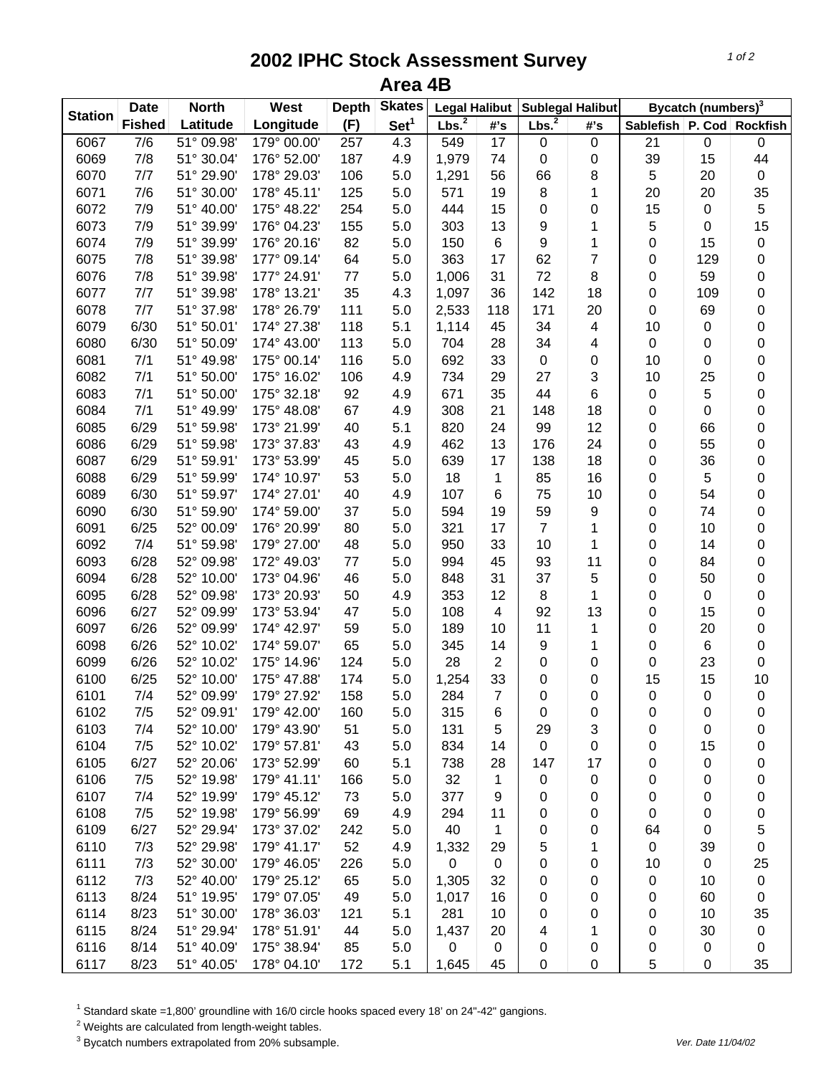## **2002 IPHC Stock Assessment Survey Area 4B**

| <b>Station</b> | <b>Date</b><br><b>North</b> |            | West        | <b>Depth</b> | <b>Skates</b>    | <b>Legal Halibut</b> |                 | <b>Sublegal Halibut</b> |                | Bycatch (numbers) <sup>3</sup> |                  |             |
|----------------|-----------------------------|------------|-------------|--------------|------------------|----------------------|-----------------|-------------------------|----------------|--------------------------------|------------------|-------------|
|                | <b>Fished</b>               | Latitude   | Longitude   | (F)          | Set <sup>1</sup> | Lbs. <sup>2</sup>    | #'s             | Lbs. <sup>2</sup>       | #'s            | Sablefish   P. Cod   Rockfish  |                  |             |
| 6067           | 7/6                         | 51° 09.98' | 179° 00.00' | 257          | 4.3              | 549                  | $\overline{17}$ | $\pmb{0}$               | $\pmb{0}$      | 21                             | 0                | 0           |
| 6069           | 7/8                         | 51° 30.04' | 176° 52.00' | 187          | 4.9              | 1,979                | 74              | $\mathbf 0$             | 0              | 39                             | 15               | 44          |
| 6070           | 7/7                         | 51° 29.90' | 178° 29.03' | 106          | 5.0              | 1,291                | 56              | 66                      | 8              | 5                              | 20               | $\mathbf 0$ |
| 6071           | 7/6                         | 51° 30.00' | 178° 45.11' | 125          | 5.0              | 571                  | 19              | 8                       | 1              | 20                             | 20               | 35          |
| 6072           | 7/9                         | 51° 40.00' | 175° 48.22' | 254          | 5.0              | 444                  | 15              | $\pmb{0}$               | 0              | 15                             | $\pmb{0}$        | $\mathbf 5$ |
| 6073           | 7/9                         | 51° 39.99' | 176° 04.23' | 155          | 5.0              | 303                  | 13              | 9                       | 1              | 5                              | 0                | 15          |
| 6074           | 7/9                         | 51° 39.99' | 176° 20.16' | 82           | 5.0              | 150                  | 6               | 9                       | 1              | $\mathbf 0$                    | 15               | $\mathbf 0$ |
| 6075           | 7/8                         | 51° 39.98' | 177° 09.14' | 64           | 5.0              | 363                  | 17              | 62                      | $\overline{7}$ | 0                              | 129              | $\mathbf 0$ |
| 6076           | 7/8                         | 51° 39.98' | 177° 24.91' | 77           | 5.0              | 1,006                | 31              | 72                      | 8              | $\mathbf 0$                    | 59               | $\mathbf 0$ |
| 6077           | 7/7                         | 51° 39.98' | 178° 13.21' | 35           | 4.3              | 1,097                | 36              | 142                     | 18             | 0                              | 109              | $\mathbf 0$ |
| 6078           | 7/7                         | 51° 37.98' | 178° 26.79' | 111          | 5.0              | 2,533                | 118             | 171                     | 20             | 0                              | 69               | $\mathbf 0$ |
| 6079           | 6/30                        | 51° 50.01' | 174° 27.38' | 118          | 5.1              | 1,114                | 45              | 34                      | 4              | 10                             | 0                | $\mathbf 0$ |
| 6080           | 6/30                        | 51° 50.09' | 174° 43.00' | 113          | 5.0              | 704                  | 28              | 34                      | 4              | $\boldsymbol{0}$               | 0                | $\mathbf 0$ |
| 6081           | 7/1                         | 51° 49.98' | 175° 00.14' | 116          | 5.0              | 692                  | 33              | $\pmb{0}$               | 0              | 10                             | 0                | $\pmb{0}$   |
| 6082           | 7/1                         | 51° 50.00' | 175° 16.02' | 106          | 4.9              | 734                  | 29              | 27                      | 3              | 10                             | 25               | $\mathbf 0$ |
| 6083           | 7/1                         | 51° 50.00' | 175° 32.18' | 92           | 4.9              | 671                  | 35              | 44                      | 6              | $\boldsymbol{0}$               | 5                | $\pmb{0}$   |
| 6084           | 7/1                         | 51° 49.99' | 175° 48.08' | 67           | 4.9              | 308                  | 21              | 148                     | 18             | 0                              | 0                | 0           |
| 6085           | 6/29                        | 51° 59.98' | 173° 21.99' | 40           | 5.1              | 820                  | 24              | 99                      | 12             | 0                              | 66               | 0           |
| 6086           | 6/29                        | 51° 59.98' | 173° 37.83' | 43           | 4.9              | 462                  | 13              | 176                     | 24             | 0                              | 55               | $\pmb{0}$   |
| 6087           | 6/29                        | 51° 59.91' | 173° 53.99' | 45           | 5.0              | 639                  | 17              | 138                     | 18             | 0                              | 36               | $\mathbf 0$ |
| 6088           | 6/29                        | 51° 59.99' | 174° 10.97' | 53           | 5.0              | 18                   | 1               | 85                      | 16             | 0                              | 5                | $\mathbf 0$ |
| 6089           | 6/30                        | 51° 59.97' | 174° 27.01' | 40           | 4.9              | 107                  | $\,6$           | 75                      | 10             | 0                              | 54               | $\mathbf 0$ |
| 6090           | 6/30                        | 51° 59.90' | 174° 59.00' | 37           | 5.0              | 594                  | 19              | 59                      | 9              | $\mathbf 0$                    | 74               | $\mathbf 0$ |
| 6091           | 6/25                        | 52° 00.09' | 176° 20.99' | 80           | 5.0              | 321                  | 17              | $\overline{7}$          | 1              | $\mathbf 0$                    | 10               | $\mathbf 0$ |
| 6092           | 7/4                         | 51° 59.98' | 179° 27.00' | 48           | 5.0              | 950                  | 33              | 10                      | 1              | 0                              | 14               | $\mathbf 0$ |
| 6093           | 6/28                        | 52° 09.98' | 172° 49.03' | 77           | 5.0              | 994                  | 45              | 93                      | 11             | 0                              | 84               | $\mathbf 0$ |
| 6094           | 6/28                        | 52° 10.00' | 173° 04.96' | 46           | 5.0              | 848                  | 31              | 37                      | 5              | 0                              | 50               | $\mathbf 0$ |
| 6095           | 6/28                        | 52° 09.98  | 173° 20.93' | 50           | 4.9              | 353                  | 12              | 8                       | 1              | 0                              | 0                | $\pmb{0}$   |
| 6096           | 6/27                        | 52° 09.99' | 173° 53.94' | 47           | 5.0              | 108                  | 4               | 92                      | 13             | 0                              | 15               | $\mathbf 0$ |
| 6097           | 6/26                        | 52° 09.99' | 174° 42.97' | 59           | 5.0              | 189                  | 10              | 11                      | 1              | 0                              | 20               | $\mathbf 0$ |
| 6098           | 6/26                        | 52° 10.02' | 174° 59.07' | 65           | 5.0              | 345                  | 14              | 9                       | 1              | 0                              | 6                | $\pmb{0}$   |
| 6099           | 6/26                        | 52° 10.02' | 175° 14.96' | 124          | 5.0              | 28                   | $\overline{2}$  | 0                       | 0              | 0                              | 23               | $\mathbf 0$ |
| 6100           | 6/25                        | 52° 10.00' | 175° 47.88' | 174          | 5.0              | 1,254                | 33              | 0                       | 0              | 15                             | 15               | 10          |
| 6101           | 7/4                         | 52° 09.99' | 179° 27.92' | 158          | 5.0              | 284                  | $\overline{7}$  | 0                       | 0              | $\mathbf 0$                    | 0                | $\mbox{O}$  |
| 6102           | 7/5                         | 52° 09.91' | 179° 42.00' | 160          | 5.0              | 315                  | 6               | 0                       | 0              | 0                              | 0                | 0           |
| 6103           | 7/4                         | 52° 10.00' | 179° 43.90' | 51           | 5.0              | 131                  | 5               | 29                      | 3              | 0                              | 0                | 0           |
| 6104           | 7/5                         | 52° 10.02' | 179° 57.81' | 43           | 5.0              | 834                  | 14              | 0                       | 0              | 0                              | 15               | 0           |
| 6105           | 6/27                        | 52° 20.06' | 173° 52.99' | 60           | 5.1              | 738                  | 28              | 147                     | 17             | 0                              | 0                | 0           |
| 6106           | 7/5                         | 52° 19.98' | 179° 41.11' | 166          | 5.0              | 32                   | 1               | 0                       | $\pmb{0}$      | 0                              | 0                | 0           |
| 6107           | 7/4                         | 52° 19.99' | 179° 45.12' | 73           | 5.0              | 377                  | 9               | 0                       | 0              | 0                              | 0                | 0           |
| 6108           | 7/5                         | 52° 19.98' | 179° 56.99' | 69           | 4.9              | 294                  | 11              | 0                       | 0              | 0                              | 0                | 0           |
| 6109           | 6/27                        | 52° 29.94' | 173° 37.02' | 242          | 5.0              | 40                   | $\mathbf 1$     | 0                       | 0              | 64                             | 0                | 5           |
| 6110           | 7/3                         | 52° 29.98' | 179° 41.17' | 52           | 4.9              | 1,332                | 29              | 5                       | 1              | $\boldsymbol{0}$               | 39               | 0           |
| 6111           | 7/3                         | 52° 30.00' | 179° 46.05' | 226          | 5.0              | 0                    | $\mathbf 0$     | 0                       | 0              | 10                             | $\boldsymbol{0}$ | 25          |
| 6112           | 7/3                         | 52° 40.00' | 179° 25.12' | 65           | 5.0              | 1,305                | 32              | 0                       | 0              | 0                              | 10               | $\pmb{0}$   |
| 6113           | 8/24                        | 51° 19.95' | 179° 07.05' | 49           | 5.0              | 1,017                | 16              | 0                       | 0              | 0                              | 60               | 0           |
| 6114           | 8/23                        | 51° 30.00' | 178° 36.03' | 121          | 5.1              | 281                  | 10              | 0                       | 0              | 0                              | 10               | 35          |
| 6115           | 8/24                        | 51° 29.94' | 178° 51.91' | 44           | 5.0              | 1,437                | 20              | 4                       | 1              | 0                              | 30               | $\pmb{0}$   |
| 6116           | 8/14                        | 51° 40.09' | 175° 38.94' | 85           | 5.0              | 0                    | $\pmb{0}$       | 0                       | 0              | 0                              | 0                | 0           |
| 6117           | 8/23                        | 51° 40.05' | 178° 04.10' | 172          | 5.1              | 1,645                | 45              | 0                       | 0              | 5                              | 0                | 35          |

<sup>1</sup> Standard skate =1,800' groundline with 16/0 circle hooks spaced every 18' on 24"-42" gangions.

 $2$  Weights are calculated from length-weight tables.

<sup>3</sup> Bycatch numbers extrapolated from 20% subsample. We also a strategies and the vertext of the 11/04/02